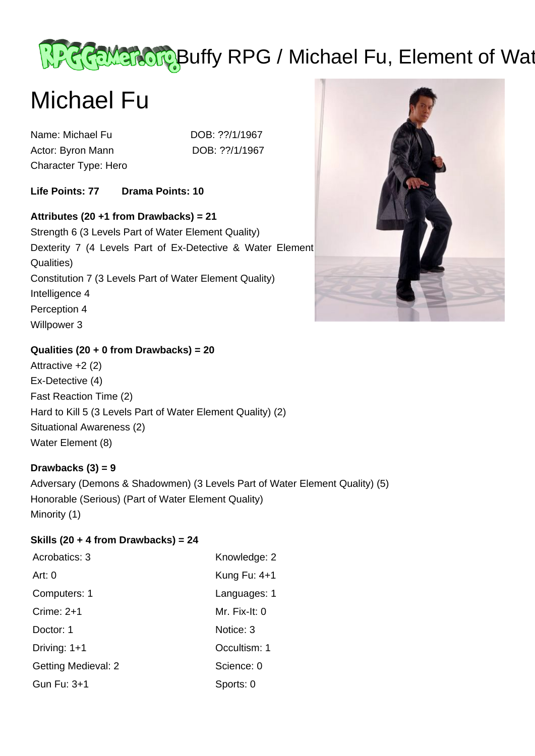# Recement of Water Buffy RPG / Michael Fu, Element of Water

# Michael Fu

Name: Michael Fu DOB: ??/1/1967 Actor: Byron Mann DOB: ??/1/1967 Character Type: Hero

**Life Points: 77 Drama Points: 10** 

# **Attributes (20 +1 from Drawbacks) = 21**

Strength 6 (3 Levels Part of Water Element Quality) Dexterity 7 (4 Levels Part of Ex-Detective & Water Element Qualities) Constitution 7 (3 Levels Part of Water Element Quality) Intelligence 4 Perception 4 Willpower 3



## **Qualities (20 + 0 from Drawbacks) = 20**

Attractive +2 (2) Ex-Detective (4) Fast Reaction Time (2) Hard to Kill 5 (3 Levels Part of Water Element Quality) (2) Situational Awareness (2) Water Element (8)

#### **Drawbacks (3) = 9**

Adversary (Demons & Shadowmen) (3 Levels Part of Water Element Quality) (5) Honorable (Serious) (Part of Water Element Quality) Minority (1)

#### **Skills (20 + 4 from Drawbacks) = 24**

| Acrobatics: 3              | Knowledge: 2   |
|----------------------------|----------------|
| Art: $0$                   | Kung Fu: $4+1$ |
| Computers: 1               | Languages: 1   |
| Crime: $2+1$               | Mr. Fix-It: 0  |
| Doctor: 1                  | Notice: 3      |
| Driving: 1+1               | Occultism: 1   |
| <b>Getting Medieval: 2</b> | Science: 0     |
| Gun Fu: 3+1                | Sports: 0      |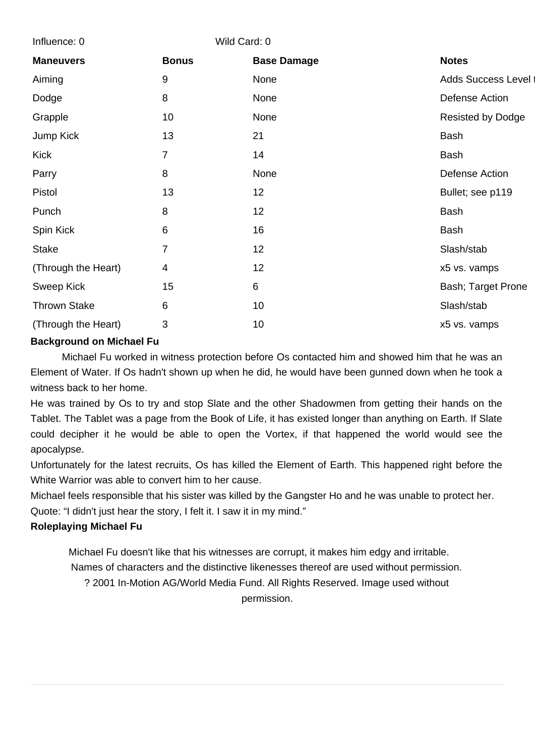| Influence: 0        | Wild Card: 0   |                    |                      |
|---------------------|----------------|--------------------|----------------------|
| <b>Maneuvers</b>    | <b>Bonus</b>   | <b>Base Damage</b> | <b>Notes</b>         |
| Aiming              | 9              | None               | Adds Success Level t |
| Dodge               | 8              | None               | Defense Action       |
| Grapple             | 10             | None               | Resisted by Dodge    |
| Jump Kick           | 13             | 21                 | <b>Bash</b>          |
| <b>Kick</b>         | $\overline{7}$ | 14                 | Bash                 |
| Parry               | 8              | None               | Defense Action       |
| Pistol              | 13             | 12                 | Bullet; see p119     |
| Punch               | 8              | 12                 | <b>Bash</b>          |
| Spin Kick           | 6              | 16                 | Bash                 |
| <b>Stake</b>        | 7              | 12                 | Slash/stab           |
| (Through the Heart) | 4              | 12                 | x5 vs. vamps         |
| <b>Sweep Kick</b>   | 15             | 6                  | Bash; Target Prone   |
| <b>Thrown Stake</b> | 6              | 10                 | Slash/stab           |
| (Through the Heart) | 3              | 10                 | x5 vs. vamps         |

## **Background on Michael Fu**

 Michael Fu worked in witness protection before Os contacted him and showed him that he was an Element of Water. If Os hadn't shown up when he did, he would have been gunned down when he took a witness back to her home.

He was trained by Os to try and stop Slate and the other Shadowmen from getting their hands on the Tablet. The Tablet was a page from the Book of Life, it has existed longer than anything on Earth. If Slate could decipher it he would be able to open the Vortex, if that happened the world would see the apocalypse.

Unfortunately for the latest recruits, Os has killed the Element of Earth. This happened right before the White Warrior was able to convert him to her cause.

Michael feels responsible that his sister was killed by the Gangster Ho and he was unable to protect her.

Quote: "I didn't just hear the story, I felt it. I saw it in my mind."

#### **Roleplaying Michael Fu**

 Michael Fu doesn't like that his witnesses are corrupt, it makes him edgy and irritable. Names of characters and the distinctive likenesses thereof are used without permission. ? 2001 In-Motion AG/World Media Fund. All Rights Reserved. Image used without permission.